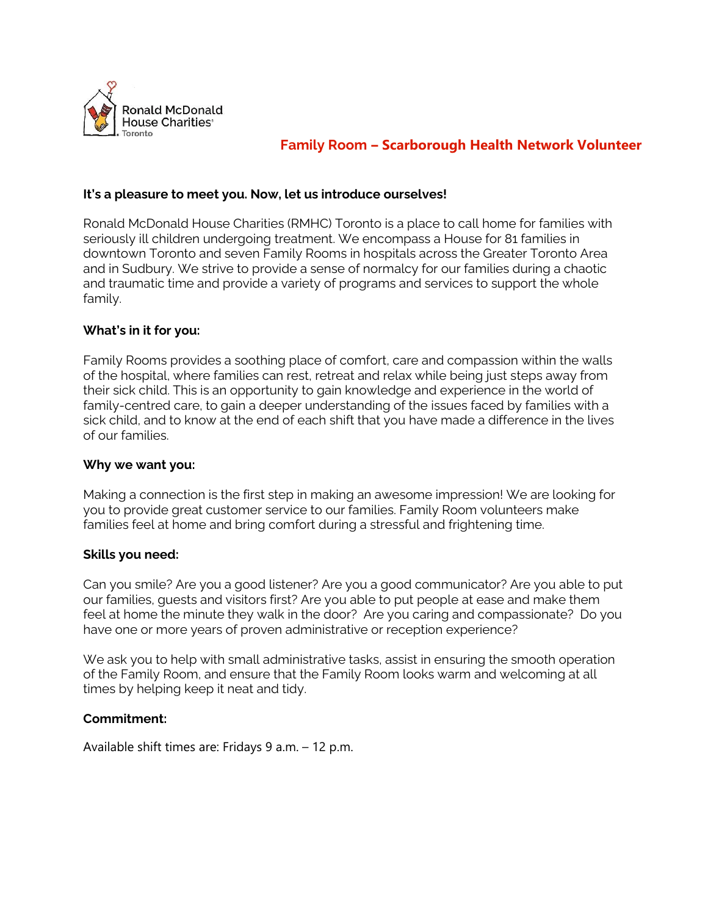

# **Family Room – Scarborough Health Network Volunteer**

### **It's a pleasure to meet you. Now, let us introduce ourselves!**

Ronald McDonald House Charities (RMHC) Toronto is a place to call home for families with seriously ill children undergoing treatment. We encompass a House for 81 families in downtown Toronto and seven Family Rooms in hospitals across the Greater Toronto Area and in Sudbury. We strive to provide a sense of normalcy for our families during a chaotic and traumatic time and provide a variety of programs and services to support the whole family.

### **What's in it for you:**

Family Rooms provides a soothing place of comfort, care and compassion within the walls of the hospital, where families can rest, retreat and relax while being just steps away from their sick child. This is an opportunity to gain knowledge and experience in the world of family-centred care, to gain a deeper understanding of the issues faced by families with a sick child, and to know at the end of each shift that you have made a difference in the lives of our families.

#### **Why we want you:**

Making a connection is the first step in making an awesome impression! We are looking for you to provide great customer service to our families. Family Room volunteers make families feel at home and bring comfort during a stressful and frightening time.

#### **Skills you need:**

Can you smile? Are you a good listener? Are you a good communicator? Are you able to put our families, guests and visitors first? Are you able to put people at ease and make them feel at home the minute they walk in the door? Are you caring and compassionate? Do you have one or more years of proven administrative or reception experience?

We ask you to help with small administrative tasks, assist in ensuring the smooth operation of the Family Room, and ensure that the Family Room looks warm and welcoming at all times by helping keep it neat and tidy.

# **Commitment:**

Available shift times are: Fridays 9 a.m. – 12 p.m.